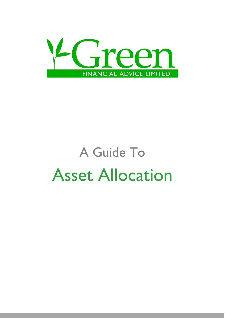

# A Guide To Asset Allocation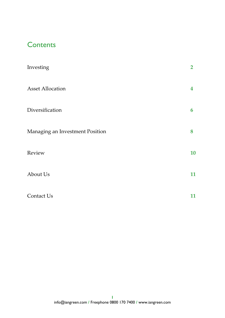# **Contents**

| Investing                       | $\overline{2}$ |
|---------------------------------|----------------|
| <b>Asset Allocation</b>         | 4              |
| Diversification                 | 6              |
| Managing an Investment Position | 8              |
| Review                          | 10             |
| About Us                        | 11             |
| Contact Us                      | 11             |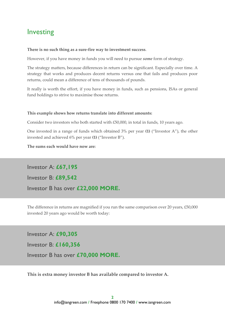# Investing

#### **There is no such thing as a sure-fire way to investment success**.

However, if you have money in funds you will need to pursue *some* form of strategy.

The strategy matters, because differences in return can be significant. Especially over time. A strategy that works and produces decent returns versus one that fails and produces poor returns, could mean a difference of tens of thousands of pounds.

It really is worth the effort, if you have money in funds, such as pensions, ISAs or general fund holdings to strive to maximise those returns.

#### **This example shows how returns translate into different amounts:**

Consider two investors who both started with £50,000, in total in funds, 10 years ago.

One invested in a range of funds which obtained 3% per year **(1)** ("Investor A"), the other invested and achieved 6% per year **(1)** ("Investor B").

**The sums each would have now are:**

Investor A: **£67,195** Investor B: **£89,542**

Investor B has over **£22,000 MORE.**

The difference in returns are magnified if you run the same comparison over 20 years, £50,000 invested 20 years ago would be worth today:

Investor A: **£90,305**

Investor B: **£160,356**

Investor B has over **£70,000 MORE.**

**This is extra money investor B has available compared to investor A.**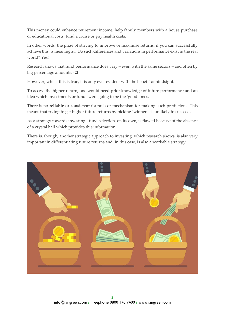This money could enhance retirement income, help family members with a house purchase or educational costs, fund a cruise or pay health costs.

In other words, the prize of striving to improve or maximise returns, if you can successfully achieve this, is meaningful. Do such differences and variations in performance exist in the real world? Yes!

Research shows that fund performance does vary – even with the same sectors – and often by big percentage amounts. **(2)**

However, whilst this is true, it is only ever evident with the benefit of hindsight.

To access the higher return, one would need prior knowledge of future performance and an idea which investments or funds were going to be the 'good' ones.

There is no **reliable or consistent** formula or mechanism for making such predictions. This means that trying to get higher future returns by picking 'winners' is unlikely to succeed.

As a strategy towards investing - fund selection, on its own, is flawed because of the absence of a crystal ball which provides this information.

There is, though, another strategic approach to investing, which research shows, is also very important in differentiating future returns and, in this case, is also a workable strategy.

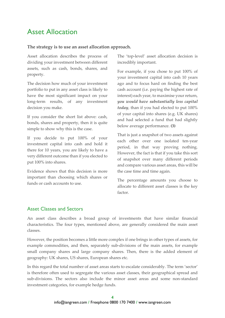# Asset Allocation

#### **The strategy is to use an asset allocation approach.**

Asset allocation describes the process of dividing your investment between different assets, such as cash, bonds, shares, and property.

The decision how much of your investment portfolio to put in any asset class is likely to have the most significant impact on your long-term results, of any investment decision you make.

If you consider the short list above: cash, bonds, shares and property, then it is quite simple to show why this is the case.

If you decide to put 100% of your investment capital into cash and hold it there for 10 years, you are likely to have a very different outcome than if you elected to put 100% into shares.

Evidence shows that this decision is more important than choosing which shares or funds or cash accounts to use.

The 'top-level' asset allocation decision is incredibly important.

For example, if you chose to put 100% of your investment capital into cash 10 years ago and to focus hard on finding the best cash account (i.e. paying the highest rate of interest) each year, to maximise your return, *you would have substantially less capital today*, than if you had elected to put 100% of your capital into shares (e.g. UK shares) and had selected a fund that had slightly below average performance. **(3)**

That is just a snapshot of two assets against each other over one isolated ten-year period, in that way proving nothing. However, the fact is that if you take this sort of snapshot over many different periods and compare various asset areas, this will be the case time and time again.

The percentage amounts you choose to allocate to different asset classes is the key factor.

## Asset Classes and Sectors

An asset class describes a broad group of investments that have similar financial characteristics. The four types, mentioned above, are generally considered the main asset classes.

However, the position becomes a little more complex if one brings in other types of assets, for example commodities, and then, separately sub-divisions of the main assets, for example small company shares and large company shares. Then, there is the added element of geography: UK shares, US shares, European shares etc.

In this regard the total number of asset areas starts to escalate considerably. The term 'sector' is therefore often used to segregate the various asset classes, their geographical spread and sub-divisions. The sectors also include the minor asset areas and some non-standard investment categories, for example hedge funds.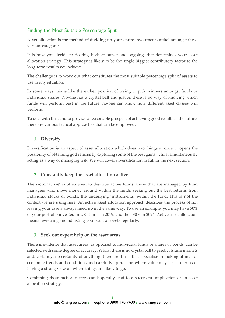## Finding the Most Suitable Percentage Split

Asset allocation is the method of dividing up your entire investment capital amongst these various categories.

It is how you decide to do this, both at outset and ongoing, that determines your asset allocation strategy. This strategy is likely to be the single biggest contributory factor to the long-term results you achieve.

The challenge is to work out what constitutes the most suitable percentage split of assets to use in any situation.

In some ways this is like the earlier position of trying to pick winners amongst funds or individual shares. No-one has a crystal ball and just as there is no way of knowing which funds will perform best in the future, no-one can know how different asset classes will perform.

To deal with this, and to provide a reasonable prospect of achieving good results in the future, there are various tactical approaches that can be employed:

## **1. Diversify**

Diversification is an aspect of asset allocation which does two things at once: it opens the possibility of obtaining god returns by capturing some of the best gains, whilst simultaneously acting as a way of managing risk. We will cover diversification in full in the next section.

## **2. Constantly keep the asset allocation active**

The word 'active' is often used to describe active funds, those that are managed by fund managers who move money around within the funds seeking out the best returns from individual stocks or bonds, the underlying 'instruments' within the fund. This is **not** the context we are using here. An active asset allocation approach describes the process of not leaving your assets always lined up in the same way. To use an example, you may have 50% of your portfolio invested in UK shares in 2019, and then 30% in 2024. Active asset allocation means reviewing and adjusting your split of assets regularly.

## **3. Seek out expert help on the asset areas**

There is evidence that asset areas, as opposed to individual funds or shares or bonds, can be selected with some degree of accuracy. Whilst there is no crystal ball to predict future markets and, certainly, no certainty of anything, there are firms that specialise in looking at macroeconomic trends and conditions and carefully appraising where value may lie – in terms of having a strong view on where things are likely to go.

Combining these tactical factors can hopefully lead to a successful application of an asset allocation strategy.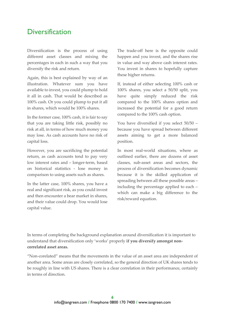## **Diversification**

Diversification is the process of using different asset classes and mixing the percentages in each in such a way that you diversify the risk and return.

Again, this is best explained by way of an illustration. Whatever sum you have available to invest, you could plump to hold it all in cash. That would be described as 100% cash. Or you could plump to put it all in shares, which would be 100% shares.

In the former case, 100% cash, it is fair to say that you are taking little risk, possibly no risk at all, in terms of how much money you may lose. As cash accounts have no risk of capital loss.

However, you are sacrificing the potential return, as cash accounts tend to pay very low interest rates and – longer-term, based on historical statistics - lose money in comparison to using assets such as shares.

In the latter case, 100% shares, you have a real and significant risk, as you could invest and then encounter a bear market in shares, and their value could drop. You would lose capital value.

The trade-off here is the opposite could happen and you invest, and the shares rise in value and way above cash interest rates. You invest in shares to hopefully capture these higher returns.

If, instead of either selecting 100% cash or 100% shares, you select a 50/50 split, you have quite simply reduced the risk compared to the 100% shares option and increased the potential for a good return compared to the 100% cash option.

You have diversified if you select 50/50 – because you have spread between different assets aiming to get a more balanced position.

In most real-world situations, where as outlined earlier, there are dozens of asset classes, sub-asset areas and sectors, the process of diversification becomes dynamic because it is the skilled application of spreading between all these possible areas – including the percentage applied to each – which can make a big difference to the risk/reward equation.

In terms of completing the background explanation around diversification it is important to understand that diversification only 'works' properly **if you diversify amongst noncorrelated asset areas.**

"Non-corelated" means that the movements in the value of an asset area are independent of another area. Some areas are closely correlated, so the general direction of UK shares tends to be roughly in line with US shares. There is a clear correlation in their performance, certainly in terms of direction.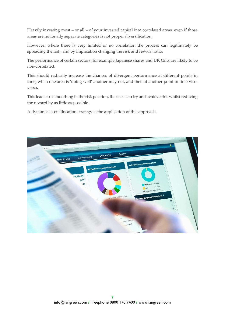Heavily investing most – or all – of your invested capital into correlated areas, even if those areas are notionally separate categories is not proper diversification.

However, where there is very limited or no correlation the process can legitimately be spreading the risk, and by implication changing the risk and reward ratio.

The performance of certain sectors, for example Japanese shares and UK Gilts are likely to be non-correlated.

This should radically increase the chances of divergent performance at different points in time, when one area is 'doing well' another may not, and then at another point in time viceversa.

This leads to a smoothing in the risk position, the task is to try and achieve this whilst reducing the reward by as little as possible.

A dynamic asset allocation strategy is the application of this approach.

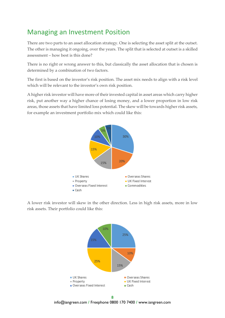# Managing an Investment Position

There are two parts to an asset allocation strategy. One is selecting the asset split at the outset. The other is managing it ongoing, over the years. The split that is selected at outset is a skilled assessment – how best is this done?

There is no right or wrong answer to this, but classically the asset allocation that is chosen is determined by a combination of two factors.

The first is based on the investor's risk position. The asset mix needs to align with a risk level which will be relevant to the investor's own risk position.

A higher risk investor will have more of their invested capital in asset areas which carry higher risk, put another way a higher chance of losing money, and a lower proportion in low risk areas, those assets that have limited loss potential. The skew will be towards higher risk assets, for example an investment portfolio mix which could like this:



A lower risk investor will skew in the other direction. Less in high risk assets, more in low risk assets. Their portfolio could like this:



**8** info@iangreen.com **/** Freephone 0800 170 7400 **/** www.iangreen.com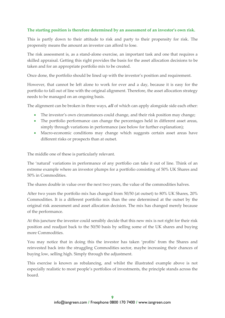### **The starting position is therefore determined by an assessment of an investor's own risk.**

This is partly down to their attitude to risk and party to their propensity for risk. The propensity means the amount an investor can afford to lose.

The risk assessment is, as a stand-alone exercise, an important task and one that requires a skilled appraisal. Getting this right provides the basis for the asset allocation decisions to be taken and for an appropriate portfolio mix to be created.

Once done, the portfolio should be lined up with the investor's position and requirement.

However, that cannot be left alone to work for ever and a day, because it is easy for the portfolio to fall out of line with the original alignment. Therefore, the asset allocation strategy needs to be managed on an ongoing basis.

The alignment can be broken in three ways, *all* of which can apply alongside side each other:

- The investor's own circumstances could change, and their risk position may change;
- The portfolio performance can change the percentages held in different asset areas, simply through variations in performance (see below for further explanation);
- Macro-economic conditions may change which suggests certain asset areas have different risks or prospects than at outset.

The middle one of these is particularly relevant.

The 'natural' variations in performance of any portfolio can take it out of line. Think of an extreme example where an investor plumps for a portfolio consisting of 50% UK Shares and 50% in Commodities.

The shares double in value over the next two years, the value of the commodities halves.

After two years the portfolio mix has changed from 50/50 (at outset) to 80% UK Shares, 20% Commodities. It is a different portfolio mix than the one determined at the outset by the original risk assessment and asset allocation decision. The mix has changed merely because of the performance.

At this juncture the investor could sensibly decide that this new mix is not right for their risk position and readjust back to the 50/50 basis by selling some of the UK shares and buying more Commodities.

You may notice that in doing this the investor has taken 'profits' from the Shares and reinvested back into the struggling Commodities sector, maybe increasing their chances of buying low, selling high. Simply through the adjustment.

This exercise is known as rebalancing, and whilst the illustrated example above is not especially realistic to most people's portfolios of investments, the principle stands across the board.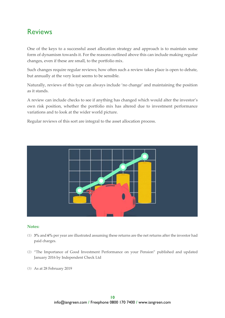# Reviews

One of the keys to a successful asset allocation strategy and approach is to maintain some form of dynamism towards it. For the reasons outlined above this can include making regular changes, even if these are small, to the portfolio mix.

Such changes require regular reviews; how often such a review takes place is open to debate, but annually at the very least seems to be sensible.

Naturally, reviews of this type can always include 'no change' and maintaining the position as it stands.

A review can include checks to see if anything has changed which would alter the investor's own risk position, whether the portfolio mix has altered due to investment performance variations and to look at the wider world picture.

Regular reviews of this sort are integral to the asset allocation process.



#### **Notes:**

- **(1) 3%** and **6%** per year are illustrated assuming these returns are the net returns after the investor had paid charges.
- **(2)** "The Importance of Good Investment Performance on your Pension" published and updated January 2016 by Independent Check Ltd
- **(3)** As at 28 February 2019